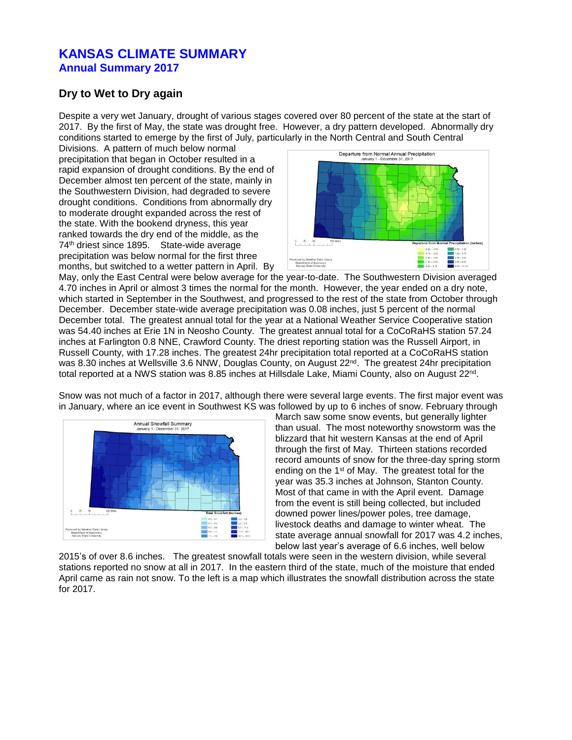## **KANSAS CLIMATE SUMMARY Annual Summary 2017**

## **Dry to Wet to Dry again**

Despite a very wet January, drought of various stages covered over 80 percent of the state at the start of 2017. By the first of May, the state was drought free. However, a dry pattern developed. Abnormally dry conditions started to emerge by the first of July, particularly in the North Central and South Central

Divisions. A pattern of much below normal precipitation that began in October resulted in a rapid expansion of drought conditions. By the end of December almost ten percent of the state, mainly in the Southwestern Division, had degraded to severe drought conditions. Conditions from abnormally dry to moderate drought expanded across the rest of the state. With the bookend dryness, this year ranked towards the dry end of the middle, as the 74 th driest since 1895. State-wide average precipitation was below normal for the first three months, but switched to a wetter pattern in April. By



May, only the East Central were below average for the year-to-date. The Southwestern Division averaged 4.70 inches in April or almost 3 times the normal for the month. However, the year ended on a dry note, which started in September in the Southwest, and progressed to the rest of the state from October through December. December state-wide average precipitation was 0.08 inches, just 5 percent of the normal December total. The greatest annual total for the year at a National Weather Service Cooperative station was 54.40 inches at Erie 1N in Neosho County. The greatest annual total for a CoCoRaHS station 57.24 inches at Farlington 0.8 NNE, Crawford County. The driest reporting station was the Russell Airport, in Russell County, with 17.28 inches. The greatest 24hr precipitation total reported at a CoCoRaHS station was 8.30 inches at Wellsville 3.6 NNW, Douglas County, on August 22<sup>nd</sup>. The greatest 24hr precipitation total reported at a NWS station was 8.85 inches at Hillsdale Lake, Miami County, also on August 22<sup>nd</sup>.

Snow was not much of a factor in 2017, although there were several large events. The first major event was in January, where an ice event in Southwest KS was followed by up to 6 inches of snow. February through



March saw some snow events, but generally lighter than usual. The most noteworthy snowstorm was the blizzard that hit western Kansas at the end of April through the first of May. Thirteen stations recorded record amounts of snow for the three-day spring storm ending on the 1st of May. The greatest total for the year was 35.3 inches at Johnson, Stanton County. Most of that came in with the April event. Damage from the event is still being collected, but included downed power lines/power poles, tree damage, livestock deaths and damage to winter wheat. The state average annual snowfall for 2017 was 4.2 inches, below last year's average of 6.6 inches, well below

2015's of over 8.6 inches. The greatest snowfall totals were seen in the western division, while several stations reported no snow at all in 2017. In the eastern third of the state, much of the moisture that ended April came as rain not snow. To the left is a map which illustrates the snowfall distribution across the state for 2017.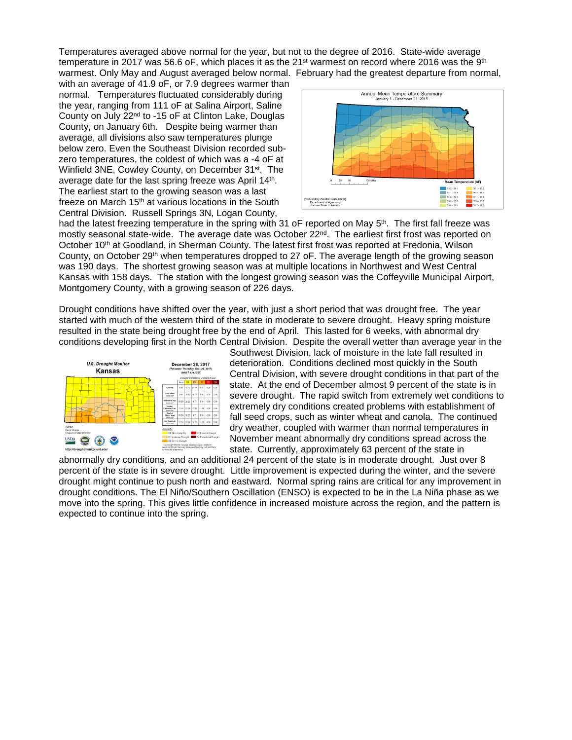Temperatures averaged above normal for the year, but not to the degree of 2016. State-wide average temperature in 2017 was 56.6 oF, which places it as the 21st warmest on record where 2016 was the 9th warmest. Only May and August averaged below normal. February had the greatest departure from normal,

with an average of 41.9 oF, or 7.9 degrees warmer than normal. Temperatures fluctuated considerably during the year, ranging from 111 oF at Salina Airport, Saline County on July 22nd to -15 oF at Clinton Lake, Douglas County, on January 6th. Despite being warmer than average, all divisions also saw temperatures plunge below zero. Even the Southeast Division recorded subzero temperatures, the coldest of which was a -4 oF at Winfield 3NE, Cowley County, on December 31<sup>st</sup>. The average date for the last spring freeze was April 14<sup>th</sup>. The earliest start to the growing season was a last freeze on March 15<sup>th</sup> at various locations in the South Central Division. Russell Springs 3N, Logan County,



had the latest freezing temperature in the spring with 31 oF reported on May 5<sup>th</sup>. The first fall freeze was mostly seasonal state-wide. The average date was October 22<sup>nd</sup>. The earliest first frost was reported on October 10<sup>th</sup> at Goodland, in Sherman County. The latest first frost was reported at Fredonia, Wilson County, on October 29th when temperatures dropped to 27 oF. The average length of the growing season was 190 days. The shortest growing season was at multiple locations in Northwest and West Central Kansas with 158 days. The station with the longest growing season was the Coffeyville Municipal Airport, Montgomery County, with a growing season of 226 days.

Drought conditions have shifted over the year, with just a short period that was drought free. The year started with much of the western third of the state in moderate to severe drought. Heavy spring moisture resulted in the state being drought free by the end of April. This lasted for 6 weeks, with abnormal dry conditions developing first in the North Central Division. Despite the overall wetter than average year in the



Southwest Division, lack of moisture in the late fall resulted in deterioration. Conditions declined most quickly in the South Central Division, with severe drought conditions in that part of the state. At the end of December almost 9 percent of the state is in severe drought. The rapid switch from extremely wet conditions to extremely dry conditions created problems with establishment of fall seed crops, such as winter wheat and canola. The continued dry weather, coupled with warmer than normal temperatures in November meant abnormally dry conditions spread across the state. Currently, approximately 63 percent of the state in

abnormally dry conditions, and an additional 24 percent of the state is in moderate drought. Just over 8 percent of the state is in severe drought. Little improvement is expected during the winter, and the severe drought might continue to push north and eastward. Normal spring rains are critical for any improvement in drought conditions. The El Niño/Southern Oscillation (ENSO) is expected to be in the La Niña phase as we move into the spring. This gives little confidence in increased moisture across the region, and the pattern is expected to continue into the spring.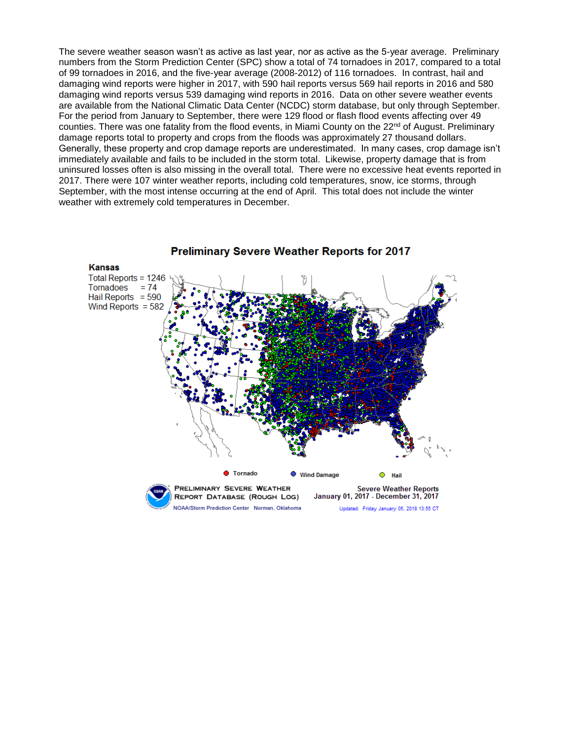The severe weather season wasn't as active as last year, nor as active as the 5-year average. Preliminary numbers from the Storm Prediction Center (SPC) show a total of 74 tornadoes in 2017, compared to a total of 99 tornadoes in 2016, and the five-year average (2008-2012) of 116 tornadoes. In contrast, hail and damaging wind reports were higher in 2017, with 590 hail reports versus 569 hail reports in 2016 and 580 damaging wind reports versus 539 damaging wind reports in 2016. Data on other severe weather events are available from the National Climatic Data Center (NCDC) storm database, but only through September. For the period from January to September, there were 129 flood or flash flood events affecting over 49 counties. There was one fatality from the flood events, in Miami County on the 22<sup>nd</sup> of August. Preliminary damage reports total to property and crops from the floods was approximately 27 thousand dollars. Generally, these property and crop damage reports are underestimated. In many cases, crop damage isn't immediately available and fails to be included in the storm total. Likewise, property damage that is from uninsured losses often is also missing in the overall total. There were no excessive heat events reported in 2017. There were 107 winter weather reports, including cold temperatures, snow, ice storms, through September, with the most intense occurring at the end of April. This total does not include the winter weather with extremely cold temperatures in December.

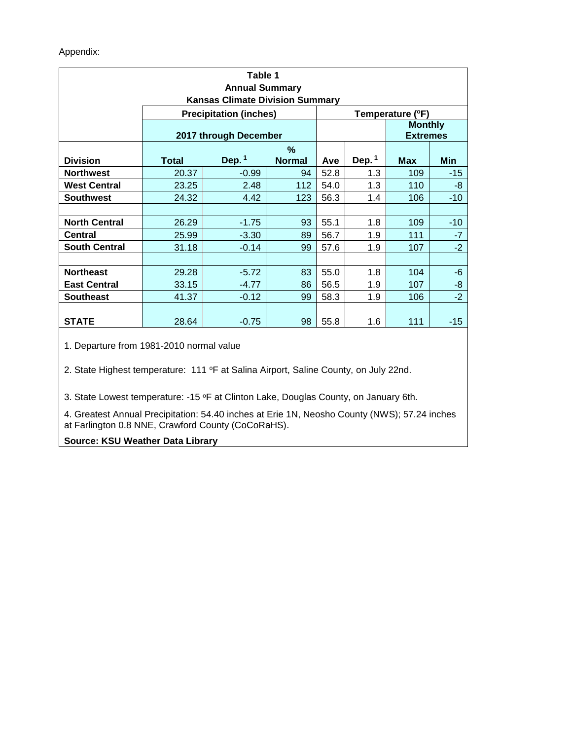| Table 1<br><b>Annual Summary</b><br><b>Kansas Climate Division Summary</b> |                               |          |               |                  |                                   |            |       |
|----------------------------------------------------------------------------|-------------------------------|----------|---------------|------------------|-----------------------------------|------------|-------|
|                                                                            | <b>Precipitation (inches)</b> |          |               | Temperature (°F) |                                   |            |       |
|                                                                            | 2017 through December         |          |               |                  | <b>Monthly</b><br><b>Extremes</b> |            |       |
|                                                                            | $\%$                          |          |               |                  |                                   |            |       |
| <b>Division</b>                                                            | <b>Total</b>                  | Dep. $1$ | <b>Normal</b> | Ave              | Dep. $1$                          | <b>Max</b> | Min   |
| <b>Northwest</b>                                                           | 20.37                         | $-0.99$  | 94            | 52.8             | 1.3                               | 109        | $-15$ |
| <b>West Central</b>                                                        | 23.25                         | 2.48     | 112           | 54.0             | 1.3                               | 110        | -8    |
| <b>Southwest</b>                                                           | 24.32                         | 4.42     | 123           | 56.3             | 1.4                               | 106        | $-10$ |
|                                                                            |                               |          |               |                  |                                   |            |       |
| <b>North Central</b>                                                       | 26.29                         | $-1.75$  | 93            | 55.1             | 1.8                               | 109        | $-10$ |
| <b>Central</b>                                                             | 25.99                         | $-3.30$  | 89            | 56.7             | 1.9                               | 111        | $-7$  |
| <b>South Central</b>                                                       | 31.18                         | $-0.14$  | 99            | 57.6             | 1.9                               | 107        | $-2$  |
|                                                                            |                               |          |               |                  |                                   |            |       |
| <b>Northeast</b>                                                           | 29.28                         | $-5.72$  | 83            | 55.0             | 1.8                               | 104        | -6    |
| <b>East Central</b>                                                        | 33.15                         | $-4.77$  | 86            | 56.5             | 1.9                               | 107        | -8    |
| <b>Southeast</b>                                                           | 41.37                         | $-0.12$  | 99            | 58.3             | 1.9                               | 106        | $-2$  |
|                                                                            |                               |          |               |                  |                                   |            |       |
| <b>STATE</b>                                                               | 28.64                         | $-0.75$  | 98            | 55.8             | 1.6                               | 111        | $-15$ |

1. Departure from 1981-2010 normal value

2. State Highest temperature: 111 °F at Salina Airport, Saline County, on July 22nd.

3. State Lowest temperature: -15 °F at Clinton Lake, Douglas County, on January 6th.

4. Greatest Annual Precipitation: 54.40 inches at Erie 1N, Neosho County (NWS); 57.24 inches at Farlington 0.8 NNE, Crawford County (CoCoRaHS).

## **Source: KSU Weather Data Library**